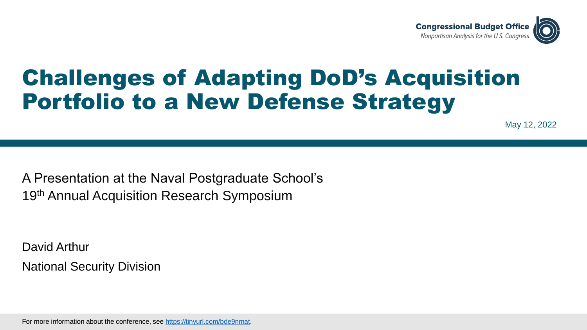

# Challenges of Adapting DoD's Acquisition Portfolio to a New Defense Strategy

May 12, 2022

A Presentation at the Naval Postgraduate School's 19<sup>th</sup> Annual Acquisition Research Symposium

David Arthur National Security Division

For more information about the conference, see [https://tinyurl.com/bde9nmat.](https://tinyurl.com/bde9nmat)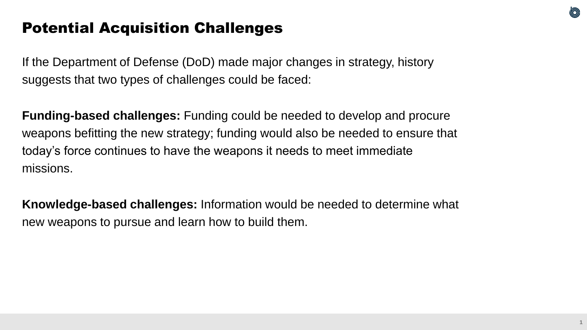### Potential Acquisition Challenges

If the Department of Defense (DoD) made major changes in strategy, history suggests that two types of challenges could be faced:

**Funding-based challenges:** Funding could be needed to develop and procure weapons befitting the new strategy; funding would also be needed to ensure that today's force continues to have the weapons it needs to meet immediate missions.

**Knowledge-based challenges:** Information would be needed to determine what new weapons to pursue and learn how to build them.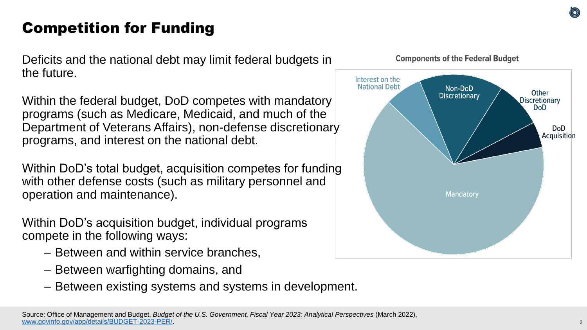## Competition for Funding

Deficits and the national debt may limit federal budgets in the future.

Within the federal budget, DoD competes with mandatory programs (such as Medicare, Medicaid, and much of the Department of Veterans Affairs), non-defense discretionary programs, and interest on the national debt.

Within DoD's total budget, acquisition competes for funding with other defense costs (such as military personnel and operation and maintenance).

Within DoD's acquisition budget, individual programs compete in the following ways:

- Between and within service branches,
- Between warfighting domains, and
- Between existing systems and systems in development.



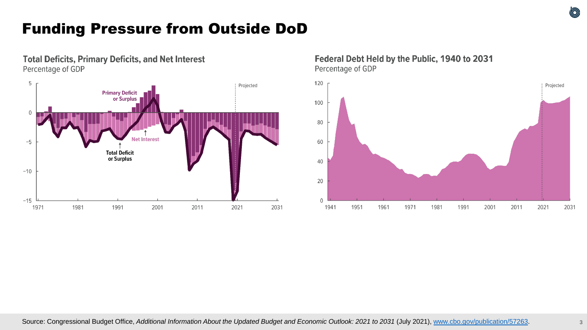### Funding Pressure from Outside DoD



**Total Deficits, Primary Deficits, and Net Interest** 

#### Federal Debt Held by the Public, 1940 to 2031 Percentage of GDP

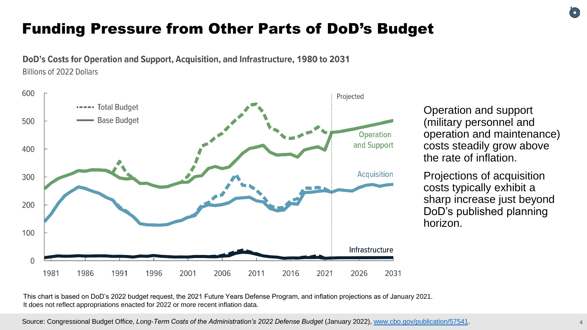### Funding Pressure from Other Parts of DoD's Budget

DoD's Costs for Operation and Support, Acquisition, and Infrastructure, 1980 to 2031 **Billions of 2022 Dollars** 



Operation and support (military personnel and operation and maintenance) costs steadily grow above the rate of inflation.

Projections of acquisition costs typically exhibit a sharp increase just beyond DoD's published planning horizon.

This chart is based on DoD's 2022 budget request, the 2021 Future Years Defense Program, and inflation projections as of January 2021. It does not reflect appropriations enacted for 2022 or more recent inflation data.

 $\circledcirc$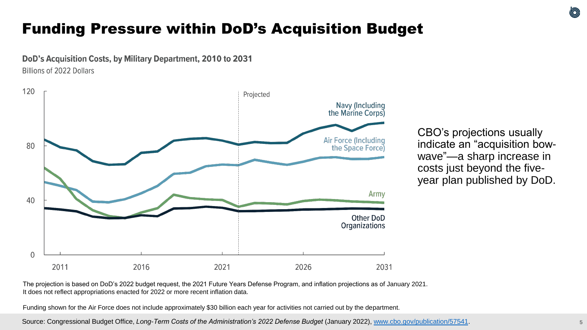### Funding Pressure within DoD's Acquisition Budget

DoD's Acquisition Costs, by Military Department, 2010 to 2031

Billions of 2022 Dollars



CBO's projections usually indicate an "acquisition bowwave"—a sharp increase in costs just beyond the fiveyear plan published by DoD.

The projection is based on DoD's 2022 budget request, the 2021 Future Years Defense Program, and inflation projections as of January 2021. It does not reflect appropriations enacted for 2022 or more recent inflation data.

Funding shown for the Air Force does not include approximately \$30 billion each year for activities not carried out by the department.

Source: Congressional Budget Office, *Long-Term Costs of the Administration's 2022 Defense Budget* (January 2022), [www.cbo.gov/publication/57541.](http://www.cbo.gov/publication/57541)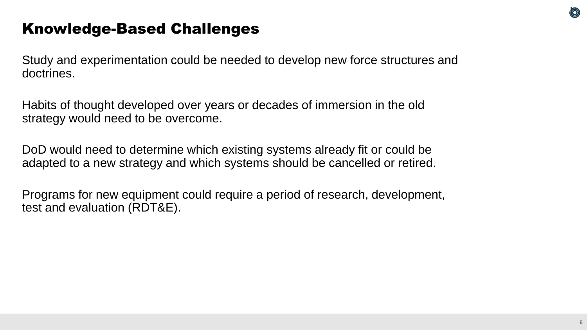### Knowledge-Based Challenges

Study and experimentation could be needed to develop new force structures and doctrines.

Habits of thought developed over years or decades of immersion in the old strategy would need to be overcome.

DoD would need to determine which existing systems already fit or could be adapted to a new strategy and which systems should be cancelled or retired.

Programs for new equipment could require a period of research, development, test and evaluation (RDT&E).